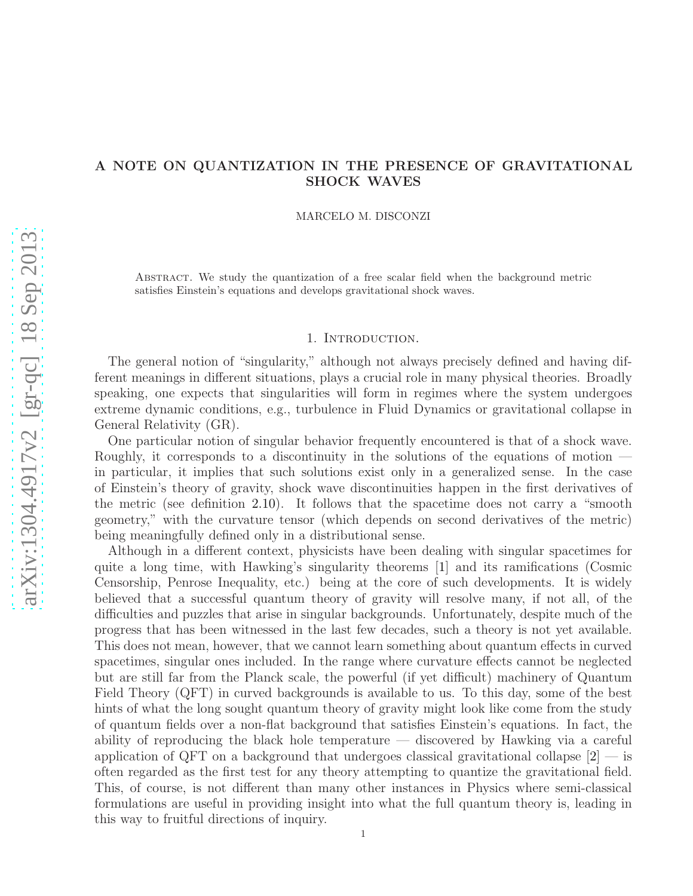# A NOTE ON QUANTIZATION IN THE PRESENCE OF GRAVITATIONAL SHOCK WAVES

MARCELO M. DISCONZI

Abstract. We study the quantization of a free scalar field when the background metric satisfies Einstein's equations and develops gravitational shock waves.

### 1. Introduction.

The general notion of "singularity," although not always precisely defined and having different meanings in different situations, plays a crucial role in many physical theories. Broadly speaking, one expects that singularities will form in regimes where the system undergoes extreme dynamic conditions, e.g., turbulence in Fluid Dynamics or gravitational collapse in General Relativity (GR).

One particular notion of singular behavior frequently encountered is that of a shock wave. Roughly, it corresponds to a discontinuity in the solutions of the equations of motion in particular, it implies that such solutions exist only in a generalized sense. In the case of Einstein's theory of gravity, shock wave discontinuities happen in the first derivatives of the metric (see definition [2.10\)](#page-5-0). It follows that the spacetime does not carry a "smooth geometry," with the curvature tensor (which depends on second derivatives of the metric) being meaningfully defined only in a distributional sense.

Although in a different context, physicists have been dealing with singular spacetimes for quite a long time, with Hawking's singularity theorems [\[1\]](#page-13-0) and its ramifications (Cosmic Censorship, Penrose Inequality, etc.) being at the core of such developments. It is widely believed that a successful quantum theory of gravity will resolve many, if not all, of the difficulties and puzzles that arise in singular backgrounds. Unfortunately, despite much of the progress that has been witnessed in the last few decades, such a theory is not yet available. This does not mean, however, that we cannot learn something about quantum effects in curved spacetimes, singular ones included. In the range where curvature effects cannot be neglected but are still far from the Planck scale, the powerful (if yet difficult) machinery of Quantum Field Theory (QFT) in curved backgrounds is available to us. To this day, some of the best hints of what the long sought quantum theory of gravity might look like come from the study of quantum fields over a non-flat background that satisfies Einstein's equations. In fact, the ability of reproducing the black hole temperature — discovered by Hawking via a careful application of QFT on a background that undergoes classical gravitational collapse  $[2]$  — is often regarded as the first test for any theory attempting to quantize the gravitational field. This, of course, is not different than many other instances in Physics where semi-classical formulations are useful in providing insight into what the full quantum theory is, leading in this way to fruitful directions of inquiry.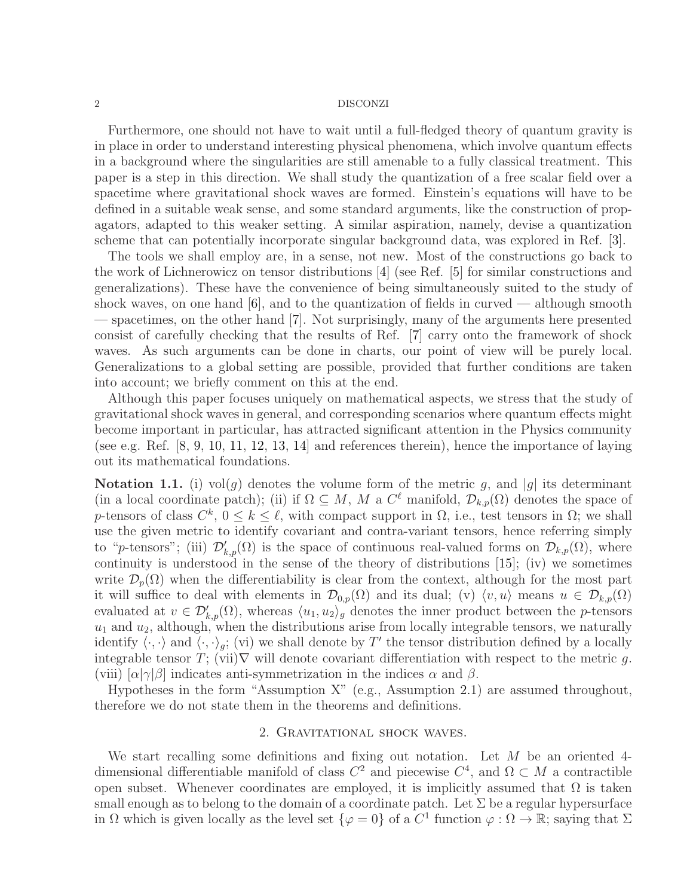Furthermore, one should not have to wait until a full-fledged theory of quantum gravity is in place in order to understand interesting physical phenomena, which involve quantum effects in a background where the singularities are still amenable to a fully classical treatment. This paper is a step in this direction. We shall study the quantization of a free scalar field over a spacetime where gravitational shock waves are formed. Einstein's equations will have to be defined in a suitable weak sense, and some standard arguments, like the construction of propagators, adapted to this weaker setting. A similar aspiration, namely, devise a quantization scheme that can potentially incorporate singular background data, was explored in Ref. [\[3\]](#page-13-2).

The tools we shall employ are, in a sense, not new. Most of the constructions go back to the work of Lichnerowicz on tensor distributions [\[4\]](#page-13-3) (see Ref. [\[5\]](#page-13-4) for similar constructions and generalizations). These have the convenience of being simultaneously suited to the study of shock waves, on one hand  $[6]$ , and to the quantization of fields in curved — although smooth — spacetimes, on the other hand [\[7\]](#page-13-6). Not surprisingly, many of the arguments here presented consist of carefully checking that the results of Ref. [\[7\]](#page-13-6) carry onto the framework of shock waves. As such arguments can be done in charts, our point of view will be purely local. Generalizations to a global setting are possible, provided that further conditions are taken into account; we briefly comment on this at the end.

Although this paper focuses uniquely on mathematical aspects, we stress that the study of gravitational shock waves in general, and corresponding scenarios where quantum effects might become important in particular, has attracted significant attention in the Physics community (see e.g. Ref. [\[8,](#page-13-7) [9,](#page-13-8) [10,](#page-13-9) [11,](#page-13-10) [12,](#page-13-11) [13,](#page-13-12) [14\]](#page-13-13) and references therein), hence the importance of laying out its mathematical foundations.

**Notation 1.1.** (i) vol(g) denotes the volume form of the metric g, and |g| its determinant (in a local coordinate patch); (ii) if  $\Omega \subseteq M$ , M a  $C^{\ell}$  manifold,  $\mathcal{D}_{k,p}(\Omega)$  denotes the space of p-tensors of class  $C^k$ ,  $0 \leq k \leq \ell$ , with compact support in  $\Omega$ , i.e., test tensors in  $\Omega$ ; we shall use the given metric to identify covariant and contra-variant tensors, hence referring simply to "p-tensors"; (iii)  $\mathcal{D}'_{k,p}(\Omega)$  is the space of continuous real-valued forms on  $\mathcal{D}_{k,p}(\Omega)$ , where continuity is understood in the sense of the theory of distributions [\[15\]](#page-13-14); (iv) we sometimes write  $\mathcal{D}_n(\Omega)$  when the differentiability is clear from the context, although for the most part it will suffice to deal with elements in  $\mathcal{D}_{0,p}(\Omega)$  and its dual; (v)  $\langle v, u \rangle$  means  $u \in \mathcal{D}_{k,p}(\Omega)$ evaluated at  $v \in \mathcal{D}'_{k,p}(\Omega)$ , whereas  $\langle u_1, u_2 \rangle_g$  denotes the inner product between the *p*-tensors  $u_1$  and  $u_2$ , although, when the distributions arise from locally integrable tensors, we naturally identify  $\langle \cdot, \cdot \rangle$  and  $\langle \cdot, \cdot \rangle_g$ ; (vi) we shall denote by T' the tensor distribution defined by a locally integrable tensor T; (vii) $\nabla$  will denote covariant differentiation with respect to the metric g. (viii)  $\alpha|\gamma|\beta|$  indicates anti-symmetrization in the indices  $\alpha$  and  $\beta$ .

Hypotheses in the form "Assumption X" (e.g., Assumption [2.1\)](#page-2-0) are assumed throughout, therefore we do not state them in the theorems and definitions.

### 2. Gravitational shock waves.

We start recalling some definitions and fixing out notation. Let  $M$  be an oriented 4dimensional differentiable manifold of class  $C^2$  and piecewise  $C^4$ , and  $\Omega \subset M$  a contractible open subset. Whenever coordinates are employed, it is implicitly assumed that  $\Omega$  is taken small enough as to belong to the domain of a coordinate patch. Let  $\Sigma$  be a regular hypersurface in  $\Omega$  which is given locally as the level set  $\{\varphi = 0\}$  of a  $C^1$  function  $\varphi : \Omega \to \mathbb{R}$ ; saying that  $\Sigma$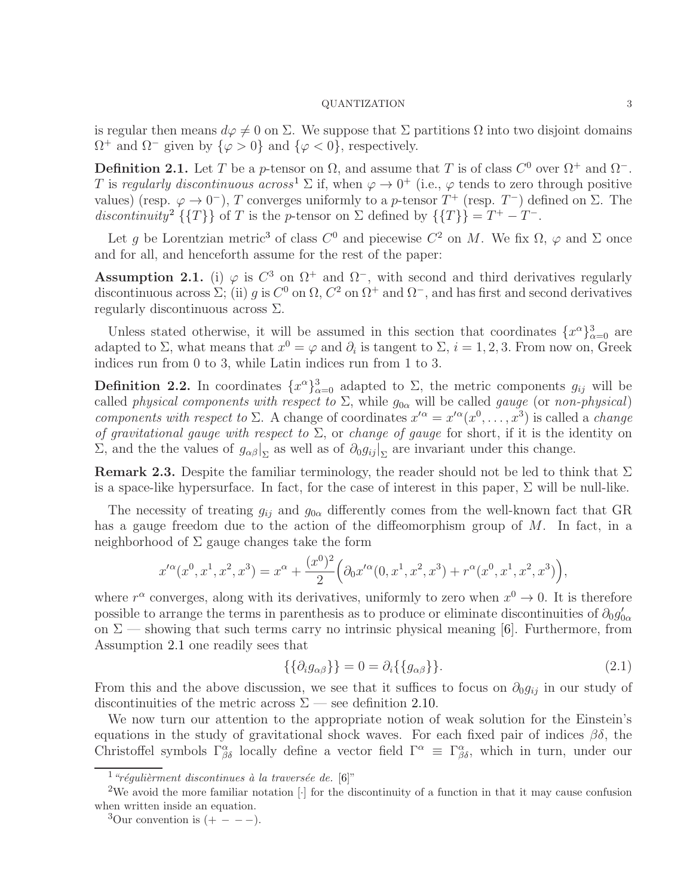is regular then means  $d\varphi \neq 0$  on  $\Sigma$ . We suppose that  $\Sigma$  partitions  $\Omega$  into two disjoint domains  $\Omega^+$  and  $\Omega^-$  given by  $\{\varphi > 0\}$  and  $\{\varphi < 0\}$ , respectively.

**Definition 2.1.** Let T be a p-tensor on  $\Omega$ , and assume that T is of class  $C^0$  over  $\Omega^+$  and  $\Omega^-$ . T is regularly discontinuous across<sup>[1](#page-2-1)</sup>  $\Sigma$  if, when  $\varphi \to 0^+$  (i.e.,  $\varphi$  tends to zero through positive values) (resp.  $\varphi \to 0^-$ ), T converges uniformly to a p-tensor  $T^+$  (resp.  $T^-$ ) defined on  $\Sigma$ . The discontinuity<sup>[2](#page-2-2)</sup> {{T}} of T is the p-tensor on  $\Sigma$  defined by {{T}} =  $T^+ - T^-$ .

Let g be Lorentzian metric<sup>[3](#page-2-3)</sup> of class  $C^0$  and piecewise  $C^2$  on M. We fix  $\Omega$ ,  $\varphi$  and  $\Sigma$  once and for all, and henceforth assume for the rest of the paper:

<span id="page-2-0"></span>Assumption 2.1. (i)  $\varphi$  is  $C^3$  on  $\Omega^+$  and  $\Omega^-$ , with second and third derivatives regularly discontinuous across  $\Sigma$ ; (ii) g is  $C^0$  on  $\Omega$ ,  $C^2$  on  $\Omega^+$  and  $\Omega^-$ , and has first and second derivatives regularly discontinuous across  $\Sigma$ .

Unless stated otherwise, it will be assumed in this section that coordinates  $\{x^{\alpha}\}_{\alpha=0}^{3}$  are adapted to  $\Sigma$ , what means that  $x^0 = \varphi$  and  $\partial_i$  is tangent to  $\Sigma$ ,  $i = 1, 2, 3$ . From now on, Greek indices run from 0 to 3, while Latin indices run from 1 to 3.

**Definition 2.2.** In coordinates  $\{x^{\alpha}\}_{\alpha=0}^{3}$  adapted to  $\Sigma$ , the metric components  $g_{ij}$  will be called *physical components with respect to*  $\Sigma$ , while  $g_{0\alpha}$  will be called *gauge* (or non-physical) components with respect to  $\Sigma$ . A change of coordinates  $x'^{\alpha} = x'^{\alpha}(x^0, \ldots, x^3)$  is called a *change* of gravitational gauge with respect to  $\Sigma$ , or change of gauge for short, if it is the identity on  $\Sigma$ , and the the values of  $g_{\alpha\beta}|_{\Sigma}$  as well as of  $\partial_0 g_{ij}|_{\Sigma}$  are invariant under this change.

**Remark 2.3.** Despite the familiar terminology, the reader should not be led to think that  $\Sigma$ is a space-like hypersurface. In fact, for the case of interest in this paper,  $\Sigma$  will be null-like.

The necessity of treating  $g_{ij}$  and  $g_{0\alpha}$  differently comes from the well-known fact that GR has a gauge freedom due to the action of the diffeomorphism group of M. In fact, in a neighborhood of  $\Sigma$  gauge changes take the form

$$
x'^{\alpha}(x^0, x^1, x^2, x^3) = x^{\alpha} + \frac{(x^0)^2}{2} \left( \partial_0 x'^{\alpha}(0, x^1, x^2, x^3) + r^{\alpha}(x^0, x^1, x^2, x^3) \right),
$$

where  $r^{\alpha}$  converges, along with its derivatives, uniformly to zero when  $x^{0} \rightarrow 0$ . It is therefore possible to arrange the terms in parenthesis as to produce or eliminate discontinuities of  $\partial_0 g'_{0\alpha}$ on  $\Sigma$  — showing that such terms carry no intrinsic physical meaning [\[6\]](#page-13-5). Furthermore, from Assumption [2.1](#page-2-0) one readily sees that

<span id="page-2-4"></span>
$$
\{\{\partial_i g_{\alpha\beta}\}\} = 0 = \partial_i \{\{g_{\alpha\beta}\}\}.
$$
\n(2.1)

From this and the above discussion, we see that it suffices to focus on  $\partial_0 g_{ij}$  in our study of discontinuities of the metric across  $\Sigma$  — see definition [2.10.](#page-5-0)

We now turn our attention to the appropriate notion of weak solution for the Einstein's equations in the study of gravitational shock waves. For each fixed pair of indices  $\beta\delta$ , the Christoffel symbols  $\Gamma^{\alpha}_{\beta\delta}$  locally define a vector field  $\Gamma^{\alpha} \equiv \Gamma^{\alpha}_{\beta\delta}$ , which in turn, under our

<span id="page-2-1"></span><sup>&</sup>lt;sup>1</sup> "régulièrment discontinues à la traversée de. [\[6\]](#page-13-5)"

<sup>&</sup>lt;sup>2</sup>We avoid the more familiar notation [·] for the discontinuity of a function in that it may cause confusion when written inside an equation.

<span id="page-2-3"></span><span id="page-2-2"></span> $3$ Our convention is  $(+ - - -)$ .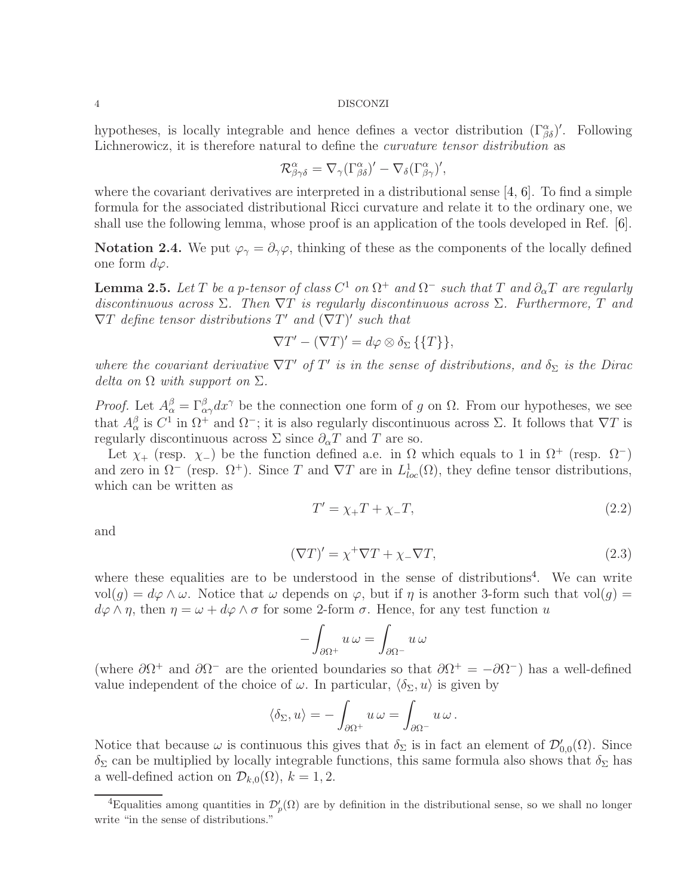hypotheses, is locally integrable and hence defines a vector distribution  $(\Gamma^{\alpha}_{\beta\delta})'$ . Following Lichnerowicz, it is therefore natural to define the curvature tensor distribution as

$$
\mathcal{R}^{\alpha}_{\beta\gamma\delta} = \nabla_{\gamma}(\Gamma^{\alpha}_{\beta\delta})' - \nabla_{\delta}(\Gamma^{\alpha}_{\beta\gamma})',
$$

where the covariant derivatives are interpreted in a distributional sense  $[4, 6]$  $[4, 6]$ . To find a simple formula for the associated distributional Ricci curvature and relate it to the ordinary one, we shall use the following lemma, whose proof is an application of the tools developed in Ref. [\[6\]](#page-13-5).

**Notation 2.4.** We put  $\varphi_{\gamma} = \partial_{\gamma} \varphi$ , thinking of these as the components of the locally defined one form  $d\varphi$ .

<span id="page-3-3"></span>**Lemma 2.5.** Let T be a p-tensor of class  $C^1$  on  $\Omega^+$  and  $\Omega^-$  such that T and  $\partial_{\alpha}T$  are regularly discontinuous across  $\Sigma$ . Then  $\nabla T$  is regularly discontinuous across  $\Sigma$ . Furthermore, T and  $\nabla T$  define tensor distributions  $T'$  and  $(\nabla T)'$  such that

$$
\nabla T' - (\nabla T)' = d\varphi \otimes \delta_{\Sigma} \{ \{T\} \},
$$

where the covariant derivative  $\nabla T'$  of  $T'$  is in the sense of distributions, and  $\delta_{\Sigma}$  is the Dirac delta on  $\Omega$  with support on  $\Sigma$ .

*Proof.* Let  $A^{\beta}_{\alpha} = \Gamma^{\beta}_{\alpha\gamma}dx^{\gamma}$  be the connection one form of g on  $\Omega$ . From our hypotheses, we see that  $A_{\alpha}^{\beta}$  is  $C^1$  in  $\Omega^+$  and  $\Omega^-$ ; it is also regularly discontinuous across  $\Sigma$ . It follows that  $\nabla T$  is regularly discontinuous across  $\Sigma$  since  $\partial_{\alpha}T$  and T are so.

Let  $\chi_+$  (resp.  $\chi_-$ ) be the function defined a.e. in  $\Omega$  which equals to 1 in  $\Omega^+$  (resp.  $\Omega^-$ ) and zero in  $\Omega^-$  (resp.  $\Omega^+$ ). Since T and  $\nabla T$  are in  $L^1_{loc}(\Omega)$ , they define tensor distributions, which can be written as

<span id="page-3-2"></span><span id="page-3-1"></span>
$$
T' = \chi_+ T + \chi_- T,\tag{2.2}
$$

and

$$
(\nabla T)' = \chi^+ \nabla T + \chi_- \nabla T,\tag{2.3}
$$

where these equalities are to be understood in the sense of distributions<sup>[4](#page-3-0)</sup>. We can write  $vol(g) = d\varphi \wedge \omega$ . Notice that  $\omega$  depends on  $\varphi$ , but if  $\eta$  is another 3-form such that vol $(g)$  =  $d\varphi \wedge \eta$ , then  $\eta = \omega + d\varphi \wedge \sigma$  for some 2-form  $\sigma$ . Hence, for any test function u

$$
-\int_{\partial\Omega^+}u\,\omega=\int_{\partial\Omega^-}u\,\omega
$$

(where  $\partial \Omega^+$  and  $\partial \Omega^-$  are the oriented boundaries so that  $\partial \Omega^+ = -\partial \Omega^-$ ) has a well-defined value independent of the choice of  $\omega$ . In particular,  $\langle \delta_{\Sigma}, u \rangle$  is given by

$$
\langle \delta_\Sigma, u \rangle = - \int_{\partial \Omega^+} u \, \omega = \int_{\partial \Omega^-} u \, \omega \, .
$$

Notice that because  $\omega$  is continuous this gives that  $\delta_{\Sigma}$  is in fact an element of  $\mathcal{D}'_{0,0}(\Omega)$ . Since  $\delta_{\Sigma}$  can be multiplied by locally integrable functions, this same formula also shows that  $\delta_{\Sigma}$  has a well-defined action on  $\mathcal{D}_{k,0}(\Omega)$ ,  $k = 1, 2$ .

<span id="page-3-0"></span><sup>&</sup>lt;sup>4</sup>Equalities among quantities in  $\mathcal{D}'_p(\Omega)$  are by definition in the distributional sense, so we shall no longer write "in the sense of distributions."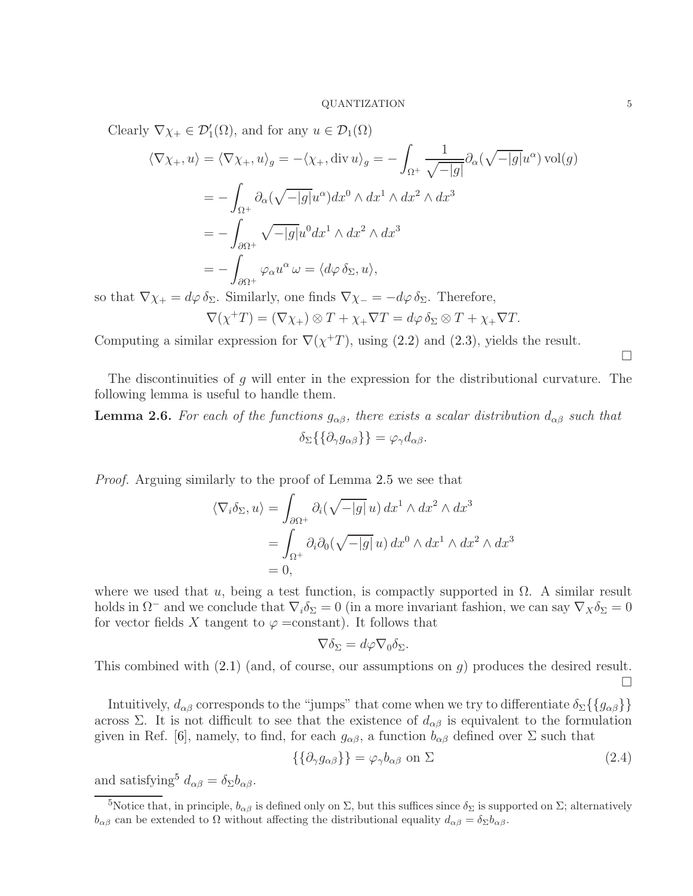Clearly  $\nabla \chi_+ \in \mathcal{D}'_1(\Omega)$ , and for any  $u \in \mathcal{D}_1(\Omega)$ 

$$
\langle \nabla \chi_+, u \rangle = \langle \nabla \chi_+, u \rangle_g = -\langle \chi_+, \text{div } u \rangle_g = -\int_{\Omega^+} \frac{1}{\sqrt{-|g|}} \partial_\alpha (\sqrt{-|g|} u^\alpha) \operatorname{vol}(g)
$$
  
= 
$$
-\int_{\Omega^+} \partial_\alpha (\sqrt{-|g|} u^\alpha) dx^0 \wedge dx^1 \wedge dx^2 \wedge dx^3
$$
  
= 
$$
-\int_{\partial \Omega^+} \sqrt{-|g|} u^0 dx^1 \wedge dx^2 \wedge dx^3
$$
  
= 
$$
-\int_{\partial \Omega^+} \varphi_\alpha u^\alpha \omega = \langle d\varphi \, \delta_\Sigma, u \rangle,
$$

so that  $\nabla \chi_+ = d\varphi \,\delta_\Sigma$ . Similarly, one finds  $\nabla \chi_- = -d\varphi \,\delta_\Sigma$ . Therefore,  $\nabla(\chi^+T) = (\nabla \chi_+) \otimes T + \chi_+ \nabla T = d\varphi \, \delta_\Sigma \otimes T + \chi_+ \nabla T.$ 

Computing a similar expression for  $\nabla(\chi^+T)$ , using [\(2.2\)](#page-3-1) and [\(2.3\)](#page-3-2), yields the result.

 $\Box$ 

The discontinuities of g will enter in the expression for the distributional curvature. The following lemma is useful to handle them.

<span id="page-4-1"></span>**Lemma 2.6.** For each of the functions  $g_{\alpha\beta}$ , there exists a scalar distribution  $d_{\alpha\beta}$  such that  $\delta_{\Sigma}\{\{\partial_{\gamma}q_{\alpha\beta}\}\}=\varphi_{\gamma}d_{\alpha\beta}.$ 

Proof. Arguing similarly to the proof of Lemma [2.5](#page-3-3) we see that

$$
\langle \nabla_i \delta_{\Sigma}, u \rangle = \int_{\partial \Omega^+} \partial_i (\sqrt{-|g|} u) \, dx^1 \wedge dx^2 \wedge dx^3
$$
  
= 
$$
\int_{\Omega^+} \partial_i \partial_0 (\sqrt{-|g|} u) \, dx^0 \wedge dx^1 \wedge dx^2 \wedge dx^3
$$
  
= 0,

where we used that u, being a test function, is compactly supported in  $\Omega$ . A similar result holds in  $\Omega^-$  and we conclude that  $\nabla_i \delta_\Sigma = 0$  (in a more invariant fashion, we can say  $\nabla_X \delta_\Sigma = 0$ for vector fields X tangent to  $\varphi = constant$ . It follows that

<span id="page-4-2"></span>
$$
\nabla \delta_{\Sigma} = d\varphi \nabla_0 \delta_{\Sigma}.
$$

This combined with  $(2.1)$  (and, of course, our assumptions on q) produces the desired result. П

Intuitively,  $d_{\alpha\beta}$  corresponds to the "jumps" that come when we try to differentiate  $\delta_{\Sigma}\{\{g_{\alpha\beta}\}\}\$ across Σ. It is not difficult to see that the existence of  $d_{\alpha\beta}$  is equivalent to the formulation given in Ref. [\[6\]](#page-13-5), namely, to find, for each  $g_{\alpha\beta}$ , a function  $b_{\alpha\beta}$  defined over  $\Sigma$  such that

$$
\{\{\partial_{\gamma}g_{\alpha\beta}\}\} = \varphi_{\gamma}b_{\alpha\beta} \text{ on } \Sigma \tag{2.4}
$$

and satisfying<sup>[5](#page-4-0)</sup>  $d_{\alpha\beta} = \delta_{\Sigma} b_{\alpha\beta}$ .

<span id="page-4-0"></span><sup>&</sup>lt;sup>5</sup>Notice that, in principle,  $b_{\alpha\beta}$  is defined only on  $\Sigma$ , but this suffices since  $\delta_{\Sigma}$  is supported on  $\Sigma$ ; alternatively  $b_{\alpha\beta}$  can be extended to  $\Omega$  without affecting the distributional equality  $d_{\alpha\beta} = \delta_{\Sigma} b_{\alpha\beta}$ .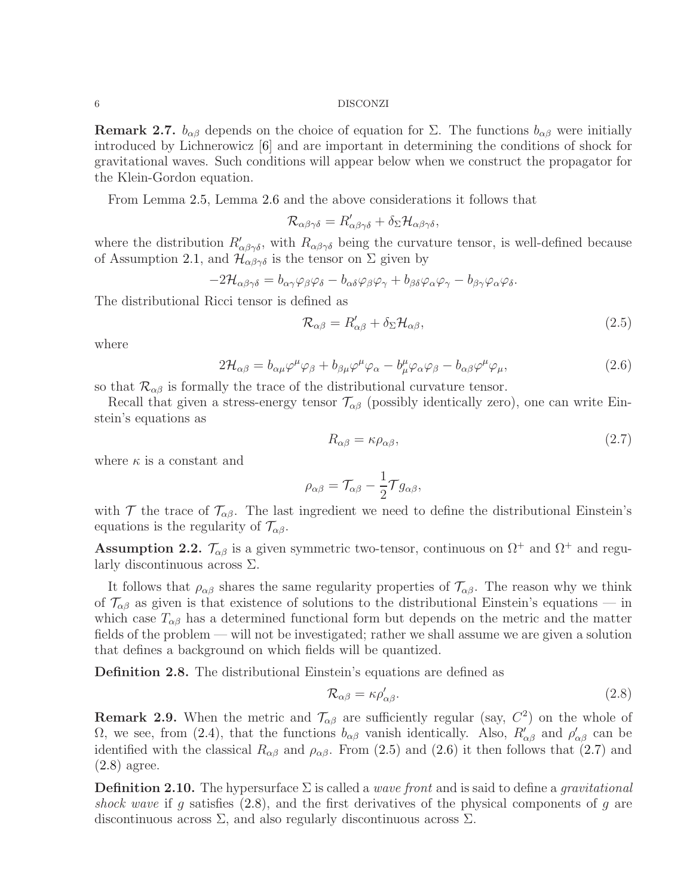**Remark 2.7.**  $b_{\alpha\beta}$  depends on the choice of equation for  $\Sigma$ . The functions  $b_{\alpha\beta}$  were initially introduced by Lichnerowicz [\[6\]](#page-13-5) and are important in determining the conditions of shock for gravitational waves. Such conditions will appear below when we construct the propagator for the Klein-Gordon equation.

From Lemma [2.5,](#page-3-3) Lemma [2.6](#page-4-1) and the above considerations it follows that

$$
\mathcal{R}_{\alpha\beta\gamma\delta}=R'_{\alpha\beta\gamma\delta}+\delta_{\Sigma}\mathcal{H}_{\alpha\beta\gamma\delta},
$$

where the distribution  $R'_{\alpha\beta\gamma\delta}$ , with  $R_{\alpha\beta\gamma\delta}$  being the curvature tensor, is well-defined because of Assumption [2.1,](#page-2-0) and  $\mathcal{H}_{\alpha\beta\gamma\delta}$  is the tensor on  $\Sigma$  given by

$$
-2\mathcal{H}_{\alpha\beta\gamma\delta}=b_{\alpha\gamma}\varphi_{\beta}\varphi_{\delta}-b_{\alpha\delta}\varphi_{\beta}\varphi_{\gamma}+b_{\beta\delta}\varphi_{\alpha}\varphi_{\gamma}-b_{\beta\gamma}\varphi_{\alpha}\varphi_{\delta}.
$$

The distributional Ricci tensor is defined as

<span id="page-5-1"></span>
$$
\mathcal{R}_{\alpha\beta} = R'_{\alpha\beta} + \delta_{\Sigma} \mathcal{H}_{\alpha\beta},\tag{2.5}
$$

where

$$
2\mathcal{H}_{\alpha\beta} = b_{\alpha\mu}\varphi^{\mu}\varphi_{\beta} + b_{\beta\mu}\varphi^{\mu}\varphi_{\alpha} - b_{\mu}^{\mu}\varphi_{\alpha}\varphi_{\beta} - b_{\alpha\beta}\varphi^{\mu}\varphi_{\mu}, \tag{2.6}
$$

so that  $\mathcal{R}_{\alpha\beta}$  is formally the trace of the distributional curvature tensor.

Recall that given a stress-energy tensor  $\mathcal{T}_{\alpha\beta}$  (possibly identically zero), one can write Einstein's equations as

<span id="page-5-3"></span><span id="page-5-2"></span>
$$
R_{\alpha\beta} = \kappa \rho_{\alpha\beta},\tag{2.7}
$$

where  $\kappa$  is a constant and

$$
\rho_{\alpha\beta}=\mathcal{T}_{\alpha\beta}-\frac{1}{2}\mathcal{T}g_{\alpha\beta},
$$

with  $\mathcal T$  the trace of  $\mathcal T_{\alpha\beta}$ . The last ingredient we need to define the distributional Einstein's equations is the regularity of  $\mathcal{T}_{\alpha\beta}$ .

Assumption 2.2.  $\mathcal{T}_{\alpha\beta}$  is a given symmetric two-tensor, continuous on  $\Omega^+$  and  $\Omega^+$  and regularly discontinuous across Σ.

It follows that  $\rho_{\alpha\beta}$  shares the same regularity properties of  $\mathcal{T}_{\alpha\beta}$ . The reason why we think of  $\mathcal{T}_{\alpha\beta}$  as given is that existence of solutions to the distributional Einstein's equations — in which case  $T_{\alpha\beta}$  has a determined functional form but depends on the metric and the matter fields of the problem — will not be investigated; rather we shall assume we are given a solution that defines a background on which fields will be quantized.

Definition 2.8. The distributional Einstein's equations are defined as

<span id="page-5-4"></span>
$$
\mathcal{R}_{\alpha\beta} = \kappa \rho'_{\alpha\beta}.
$$
\n(2.8)

**Remark 2.9.** When the metric and  $\mathcal{T}_{\alpha\beta}$  are sufficiently regular (say,  $C^2$ ) on the whole of Ω, we see, from [\(2.4\)](#page-4-2), that the functions  $b_{\alpha\beta}$  vanish identically. Also,  $R'_{\alpha\beta}$  and  $\rho'_{\alpha\beta}$  can be identified with the classical  $R_{\alpha\beta}$  and  $\rho_{\alpha\beta}$ . From [\(2.5\)](#page-5-1) and [\(2.6\)](#page-5-2) it then follows that [\(2.7\)](#page-5-3) and [\(2.8\)](#page-5-4) agree.

<span id="page-5-0"></span>**Definition 2.10.** The hypersurface  $\Sigma$  is called a *wave front* and is said to define a *gravitational* shock wave if g satisfies  $(2.8)$ , and the first derivatives of the physical components of g are discontinuous across  $\Sigma$ , and also regularly discontinuous across  $\Sigma$ .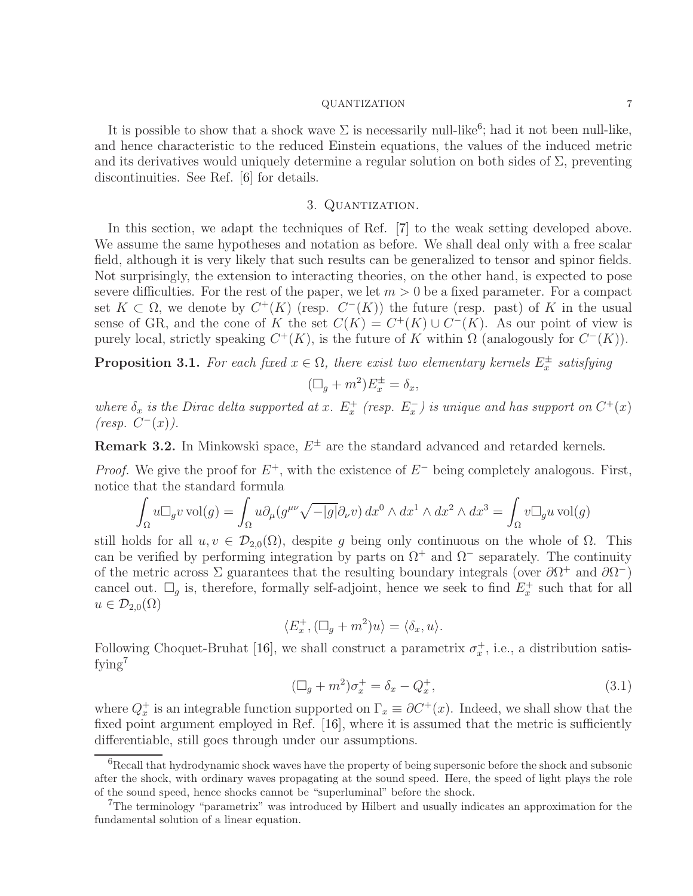It is possible to show that a shock wave  $\Sigma$  is necessarily null-like<sup>[6](#page-6-0)</sup>; had it not been null-like, and hence characteristic to the reduced Einstein equations, the values of the induced metric and its derivatives would uniquely determine a regular solution on both sides of  $\Sigma$ , preventing discontinuities. See Ref. [\[6\]](#page-13-5) for details.

## 3. Quantization.

In this section, we adapt the techniques of Ref. [\[7\]](#page-13-6) to the weak setting developed above. We assume the same hypotheses and notation as before. We shall deal only with a free scalar field, although it is very likely that such results can be generalized to tensor and spinor fields. Not surprisingly, the extension to interacting theories, on the other hand, is expected to pose severe difficulties. For the rest of the paper, we let  $m > 0$  be a fixed parameter. For a compact set  $K \subset \Omega$ , we denote by  $C^+(K)$  (resp.  $C^-(K)$ ) the future (resp. past) of K in the usual sense of GR, and the cone of K the set  $C(K) = C^{+}(K) \cup C^{-}(K)$ . As our point of view is purely local, strictly speaking  $C^+(K)$ , is the future of K within Ω (analogously for  $C^-(K)$ ).

<span id="page-6-3"></span>**Proposition 3.1.** For each fixed  $x \in \Omega$ , there exist two elementary kernels  $E_x^{\pm}$  satisfying

$$
(\Box_g + m^2) E_x^{\pm} = \delta_x,
$$

where  $\delta_x$  is the Dirac delta supported at x.  $E_x^+$  (resp.  $E_x^-$ ) is unique and has support on  $C^+(x)$  $(resp. C^-(x)).$ 

**Remark 3.2.** In Minkowski space,  $E^{\pm}$  are the standard advanced and retarded kernels.

*Proof.* We give the proof for  $E^+$ , with the existence of  $E^-$  being completely analogous. First, notice that the standard formula

$$
\int_{\Omega} u \Box_g v \operatorname{vol}(g) = \int_{\Omega} u \partial_{\mu} (g^{\mu\nu} \sqrt{-|g|} \partial_{\nu} v) \, dx^0 \wedge dx^1 \wedge dx^2 \wedge dx^3 = \int_{\Omega} v \Box_g u \operatorname{vol}(g)
$$

still holds for all  $u, v \in \mathcal{D}_{2,0}(\Omega)$ , despite g being only continuous on the whole of  $\Omega$ . This can be verified by performing integration by parts on  $\Omega^+$  and  $\Omega^-$  separately. The continuity of the metric across  $\Sigma$  guarantees that the resulting boundary integrals (over  $\partial \Omega^+$  and  $\partial \Omega^-$ ) cancel out.  $\square_g$  is, therefore, formally self-adjoint, hence we seek to find  $E_x^+$  such that for all  $u \in \mathcal{D}_{2,0}(\Omega)$ 

$$
\langle E_x^+, (\Box_g + m^2) u \rangle = \langle \delta_x, u \rangle.
$$

Following Choquet-Bruhat [\[16\]](#page-13-15), we shall construct a parametrix  $\sigma_x^+$ , i.e., a distribution satis-fying<sup>[7](#page-6-1)</sup>

<span id="page-6-2"></span>
$$
(\Box_g + m^2)\sigma_x^+ = \delta_x - Q_x^+, \tag{3.1}
$$

where  $Q_x^+$  is an integrable function supported on  $\Gamma_x \equiv \partial C^+(x)$ . Indeed, we shall show that the fixed point argument employed in Ref. [\[16\]](#page-13-15), where it is assumed that the metric is sufficiently differentiable, still goes through under our assumptions.

<span id="page-6-0"></span> ${}^{6}$ Recall that hydrodynamic shock waves have the property of being supersonic before the shock and subsonic after the shock, with ordinary waves propagating at the sound speed. Here, the speed of light plays the role of the sound speed, hence shocks cannot be "superluminal" before the shock.

<span id="page-6-1"></span><sup>&</sup>lt;sup>7</sup>The terminology "parametrix" was introduced by Hilbert and usually indicates an approximation for the fundamental solution of a linear equation.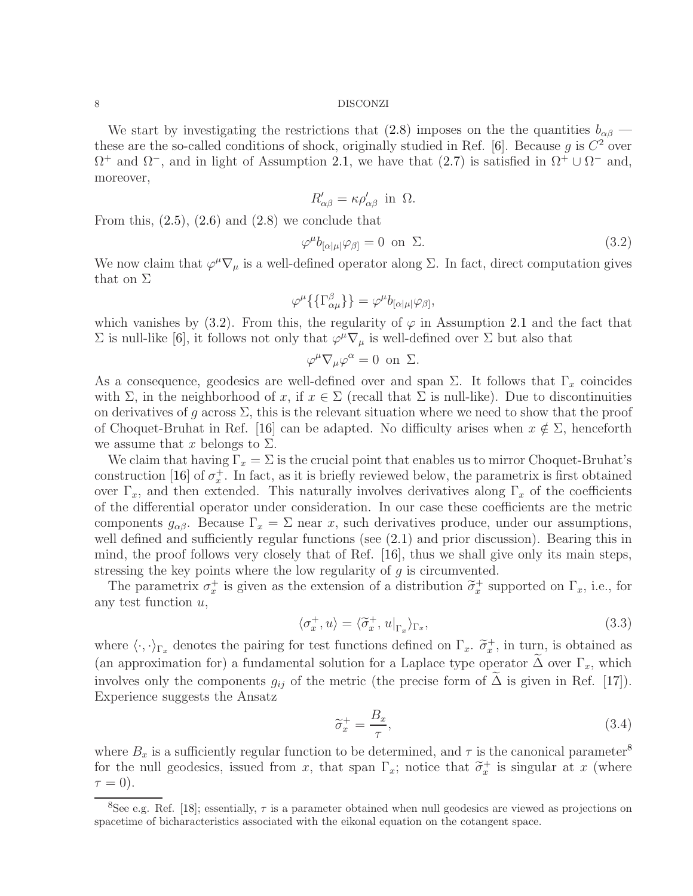We start by investigating the restrictions that [\(2.8\)](#page-5-4) imposes on the the quantities  $b_{\alpha\beta}$  — these are the so-called conditions of shock, originally studied in Ref. [\[6\]](#page-13-5). Because g is  $C^2$  over  $\Omega^+$  and  $\Omega^-$ , and in light of Assumption [2.1,](#page-2-0) we have that  $(2.7)$  is satisfied in  $\Omega^+ \cup \Omega^-$  and, moreover,

<span id="page-7-0"></span>
$$
R'_{\alpha\beta} = \kappa \rho'_{\alpha\beta} \text{ in } \Omega.
$$

From this,  $(2.5)$ ,  $(2.6)$  and  $(2.8)$  we conclude that

$$
\varphi^{\mu}b_{[\alpha|\mu|}\varphi_{\beta]} = 0 \text{ on } \Sigma. \tag{3.2}
$$

We now claim that  $\varphi^{\mu} \nabla_{\mu}$  is a well-defined operator along  $\Sigma$ . In fact, direct computation gives that on  $\Sigma$ 

$$
\varphi^{\mu}\left\{\left\{\Gamma^{\beta}_{\alpha\mu}\right\}\right\} = \varphi^{\mu}b_{[\alpha|\mu|}\varphi_{\beta]},
$$

which vanishes by [\(3.2\)](#page-7-0). From this, the regularity of  $\varphi$  in Assumption [2.1](#page-2-0) and the fact that  $\Sigma$  is null-like [\[6\]](#page-13-5), it follows not only that  $\varphi^{\mu} \nabla_{\mu}$  is well-defined over  $\Sigma$  but also that

$$
\varphi^{\mu}\nabla_{\mu}\varphi^{\alpha} = 0 \text{ on } \Sigma.
$$

As a consequence, geodesics are well-defined over and span  $\Sigma$ . It follows that  $\Gamma_x$  coincides with  $\Sigma$ , in the neighborhood of x, if  $x \in \Sigma$  (recall that  $\Sigma$  is null-like). Due to discontinuities on derivatives of q across  $\Sigma$ , this is the relevant situation where we need to show that the proof of Choquet-Bruhat in Ref. [\[16\]](#page-13-15) can be adapted. No difficulty arises when  $x \notin \Sigma$ , henceforth we assume that x belongs to  $\Sigma$ .

We claim that having  $\Gamma_x = \Sigma$  is the crucial point that enables us to mirror Choquet-Bruhat's construction [\[16\]](#page-13-15) of  $\sigma_x^+$ . In fact, as it is briefly reviewed below, the parametrix is first obtained over  $\Gamma_x$ , and then extended. This naturally involves derivatives along  $\Gamma_x$  of the coefficients of the differential operator under consideration. In our case these coefficients are the metric components  $g_{\alpha\beta}$ . Because  $\Gamma_x = \Sigma$  near x, such derivatives produce, under our assumptions, well defined and sufficiently regular functions (see [\(2.1\)](#page-2-4) and prior discussion). Bearing this in mind, the proof follows very closely that of Ref. [\[16\]](#page-13-15), thus we shall give only its main steps, stressing the key points where the low regularity of  $g$  is circumvented.

The parametrix  $\sigma_x^+$  is given as the extension of a distribution  $\tilde{\sigma}_x^+$  supported on  $\Gamma_x$ , i.e., for any test function  $u$ ,

$$
\langle \sigma_x^+, u \rangle = \langle \widetilde{\sigma}_x^+, u|_{\Gamma_x} \rangle_{\Gamma_x}, \tag{3.3}
$$

where  $\langle \cdot, \cdot \rangle_{\Gamma_x}$  denotes the pairing for test functions defined on  $\Gamma_x$ .  $\tilde{\sigma}_x^+$ , in turn, is obtained as (an approximation for) a fundamental solution for a Laplace type operator  $\Delta$  over  $\Gamma_x$ , which involves only the components  $g_{ij}$  of the metric (the precise form of  $\Delta$  is given in Ref. [[17\]](#page-13-16)). Experience suggests the Ansatz

<span id="page-7-3"></span><span id="page-7-2"></span>
$$
\widetilde{\sigma}_x^+ = \frac{B_x}{\tau},\tag{3.4}
$$

where  $B_x$  is a sufficiently regular function to be determined, and  $\tau$  is the canonical parameter<sup>[8](#page-7-1)</sup> for the null geodesics, issued from x, that span  $\Gamma_x$ ; notice that  $\tilde{\sigma}_x^+$  is singular at x (where  $\tau = 0$ ).

<span id="page-7-1"></span><sup>&</sup>lt;sup>8</sup>See e.g. Ref. [\[18\]](#page-13-17); essentially,  $\tau$  is a parameter obtained when null geodesics are viewed as projections on spacetime of bicharacteristics associated with the eikonal equation on the cotangent space.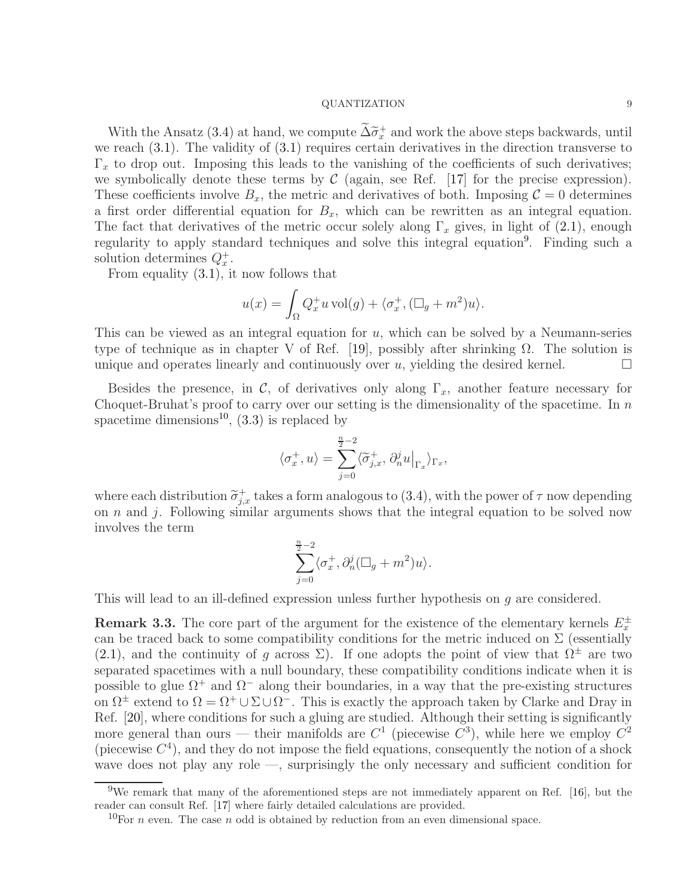With the Ansatz [\(3.4\)](#page-7-2) at hand, we compute  $\tilde{\Delta}\tilde{\sigma}_x^+$  and work the above steps backwards, until<br>the space of  $(2,1)$ . The subjective of  $(2,1)$  no various sentain derivatives in the direction transverse to we reach [\(3.1\)](#page-6-2). The validity of [\(3.1\)](#page-6-2) requires certain derivatives in the direction transverse to  $\Gamma_x$  to drop out. Imposing this leads to the vanishing of the coefficients of such derivatives; we symbolically denote these terms by  $\mathcal C$  (again, see Ref. [\[17\]](#page-13-16) for the precise expression). These coefficients involve  $B_x$ , the metric and derivatives of both. Imposing  $\mathcal{C} = 0$  determines a first order differential equation for  $B_x$ , which can be rewritten as an integral equation. The fact that derivatives of the metric occur solely along  $\Gamma_x$  gives, in light of [\(2.1\)](#page-2-4), enough regularity to apply standard techniques and solve this integral equation<sup>[9](#page-8-0)</sup>. Finding such a solution determines  $Q_x^+$ .

From equality [\(3.1\)](#page-6-2), it now follows that

$$
u(x) = \int_{\Omega} Q_x^+ u \operatorname{vol}(g) + \langle \sigma_x^+, (\Box_g + m^2) u \rangle.
$$

This can be viewed as an integral equation for  $u$ , which can be solved by a Neumann-series type of technique as in chapter V of Ref. [\[19\]](#page-13-18), possibly after shrinking  $\Omega$ . The solution is unique and operates linearly and continuously over  $u$ , yielding the desired kernel.

Besides the presence, in C, of derivatives only along  $\Gamma_x$ , another feature necessary for Choquet-Bruhat's proof to carry over our setting is the dimensionality of the spacetime. In  $n$ spacetime dimensions<sup>[10](#page-8-1)</sup>,  $(3.3)$  is replaced by

$$
\langle \sigma_x^+,u\rangle=\sum_{j=0}^{\frac{n}{2}-2}\langle \widetilde{\sigma}^+_{j,x},\,\partial^j_n u\big|_{\Gamma_x}\rangle_{\Gamma_x},
$$

where each distribution  $\tilde{\sigma}_{j,x}^+$  takes a form analogous to [\(3.4\)](#page-7-2), with the power of  $\tau$  now depending on n and j. Following similar arguments shows that the integral equation to be solved now involves the term

$$
\sum_{j=0}^{\frac{n}{2}-2} \langle \sigma_x^+, \partial_n^j (\Box_g + m^2) u \rangle.
$$

This will lead to an ill-defined expression unless further hypothesis on g are considered.

**Remark 3.3.** The core part of the argument for the existence of the elementary kernels  $E_x^{\pm}$ can be traced back to some compatibility conditions for the metric induced on  $\Sigma$  (essentially [\(2.1\)](#page-2-4), and the continuity of q across  $\Sigma$ ). If one adopts the point of view that  $\Omega^{\pm}$  are two separated spacetimes with a null boundary, these compatibility conditions indicate when it is possible to glue  $\Omega^+$  and  $\Omega^-$  along their boundaries, in a way that the pre-existing structures on  $\Omega^{\pm}$  extend to  $\Omega = \Omega^{+} \cup \Sigma \cup \Omega^{-}$ . This is exactly the approach taken by Clarke and Dray in Ref. [\[20\]](#page-13-19), where conditions for such a gluing are studied. Although their setting is significantly more general than ours — their manifolds are  $C^1$  (piecewise  $C^3$ ), while here we employ  $C^2$ (piecewise  $C<sup>4</sup>$ ), and they do not impose the field equations, consequently the notion of a shock wave does not play any role —, surprisingly the only necessary and sufficient condition for

 $9$ We remark that many of the aforementioned steps are not immediately apparent on Ref. [\[16\]](#page-13-15), but the reader can consult Ref. [\[17\]](#page-13-16) where fairly detailed calculations are provided.

<span id="page-8-1"></span><span id="page-8-0"></span><sup>&</sup>lt;sup>10</sup>For *n* even. The case *n* odd is obtained by reduction from an even dimensional space.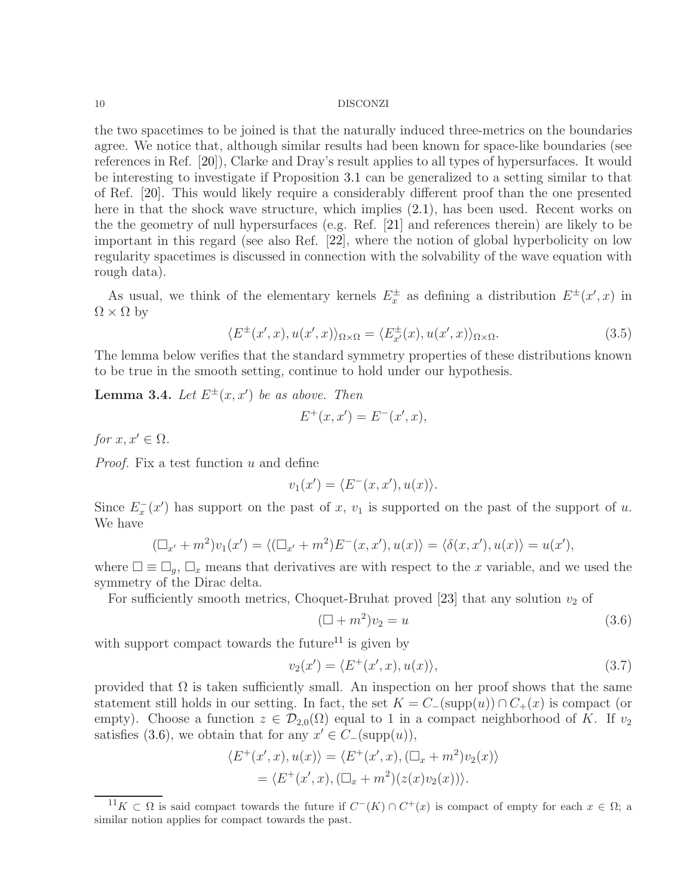the two spacetimes to be joined is that the naturally induced three-metrics on the boundaries agree. We notice that, although similar results had been known for space-like boundaries (see references in Ref. [\[20\]](#page-13-19)), Clarke and Dray's result applies to all types of hypersurfaces. It would be interesting to investigate if Proposition [3.1](#page-6-3) can be generalized to a setting similar to that of Ref. [\[20\]](#page-13-19). This would likely require a considerably different proof than the one presented here in that the shock wave structure, which implies [\(2.1\)](#page-2-4), has been used. Recent works on the the geometry of null hypersurfaces (e.g. Ref. [\[21\]](#page-13-20) and references therein) are likely to be important in this regard (see also Ref. [\[22\]](#page-13-21), where the notion of global hyperbolicity on low regularity spacetimes is discussed in connection with the solvability of the wave equation with rough data).

As usual, we think of the elementary kernels  $E_x^{\pm}$  as defining a distribution  $E^{\pm}(x',x)$  in  $\Omega \times \Omega$  by

$$
\langle E^{\pm}(x',x), u(x',x)\rangle_{\Omega\times\Omega} = \langle E^{\pm}_{x'}(x), u(x',x)\rangle_{\Omega\times\Omega}.\tag{3.5}
$$

The lemma below verifies that the standard symmetry properties of these distributions known to be true in the smooth setting, continue to hold under our hypothesis.

<span id="page-9-3"></span>**Lemma 3.4.** Let  $E^{\pm}(x, x')$  be as above. Then

$$
E^{+}(x, x') = E^{-}(x', x),
$$

for  $x, x' \in \Omega$ .

*Proof.* Fix a test function  $u$  and define

$$
v_1(x') = \langle E^-(x, x'), u(x) \rangle.
$$

Since  $E_x^-(x')$  has support on the past of x,  $v_1$  is supported on the past of the support of u. We have

$$
(\Box_{x'} + m^2)v_1(x') = \langle (\Box_{x'} + m^2)E^-(x, x'), u(x) \rangle = \langle \delta(x, x'), u(x) \rangle = u(x'),
$$

where  $\square \equiv \square_g$ ,  $\square_x$  means that derivatives are with respect to the x variable, and we used the symmetry of the Dirac delta.

For sufficiently smooth metrics, Choquet-Bruhat proved [\[23\]](#page-13-22) that any solution  $v_2$  of

<span id="page-9-2"></span><span id="page-9-1"></span>
$$
(\Box + m^2)v_2 = u \tag{3.6}
$$

with support compact towards the future<sup>[11](#page-9-0)</sup> is given by

$$
v_2(x') = \langle E^+(x', x), u(x) \rangle, \tag{3.7}
$$

provided that  $\Omega$  is taken sufficiently small. An inspection on her proof shows that the same statement still holds in our setting. In fact, the set  $K = C_-(\text{supp}(u)) \cap C_+(x)$  is compact (or empty). Choose a function  $z \in \mathcal{D}_{2,0}(\Omega)$  equal to 1 in a compact neighborhood of K. If  $v_2$ satisfies [\(3.6\)](#page-9-1), we obtain that for any  $x' \in C_{-}(\text{supp}(u)),$ 

$$
\langle E^+(x',x), u(x) \rangle = \langle E^+(x',x), (\Box_x + m^2)v_2(x) \rangle
$$
  
= 
$$
\langle E^+(x',x), (\Box_x + m^2)(z(x)v_2(x)) \rangle.
$$

<span id="page-9-0"></span><sup>&</sup>lt;sup>11</sup>K ⊂ Ω is said compact towards the future if  $C^{-}(K) \cap C^{+}(x)$  is compact of empty for each  $x \in \Omega$ ; a similar notion applies for compact towards the past.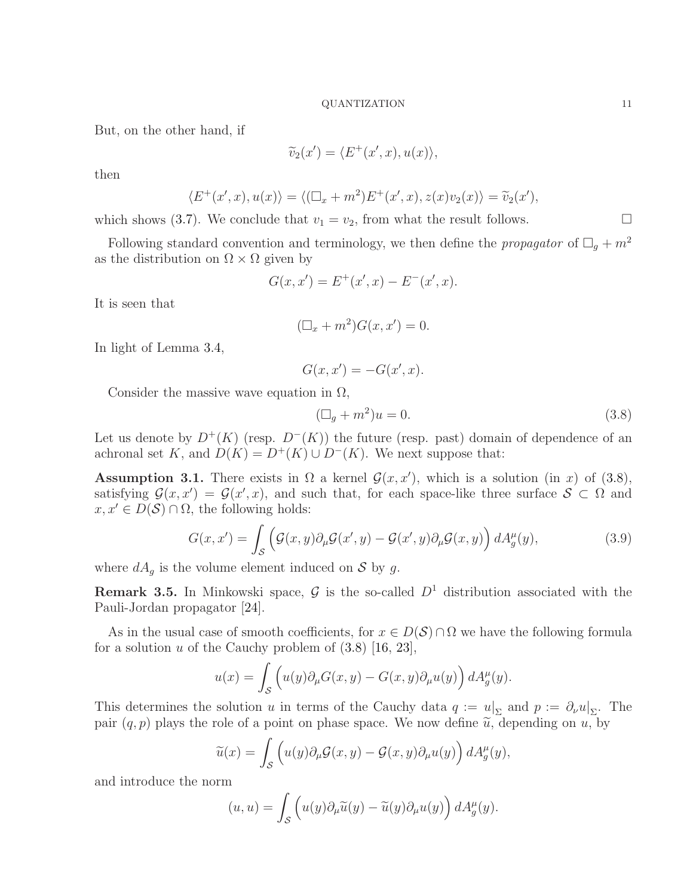But, on the other hand, if

$$
\widetilde{v}_2(x') = \langle E^+(x',x), u(x) \rangle,
$$

then

$$
\langle E^+(x',x),u(x)\rangle = \langle (\Box_x + m^2)E^+(x',x),z(x)v_2(x)\rangle = \widetilde{v}_2(x'),
$$

which shows [\(3.7\)](#page-9-2). We conclude that  $v_1 = v_2$ , from what the result follows.

Following standard convention and terminology, we then define the *propagator* of  $\Box_g + m^2$ as the distribution on  $\Omega \times \Omega$  given by

$$
G(x, x') = E^{+}(x', x) - E^{-}(x', x).
$$

It is seen that

$$
(\Box_x + m^2)G(x, x') = 0.
$$

In light of Lemma [3.4,](#page-9-3)

$$
G(x, x') = -G(x', x).
$$

Consider the massive wave equation in  $\Omega$ ,

$$
(\Box_g + m^2)u = 0. \tag{3.8}
$$

Let us denote by  $D^+(K)$  (resp.  $D^-(K)$ ) the future (resp. past) domain of dependence of an achronal set K, and  $D(K) = D^{+}(K) \cup D^{-}(K)$ . We next suppose that:

Assumption 3.1. There exists in  $\Omega$  a kernel  $\mathcal{G}(x, x')$ , which is a solution (in x) of [\(3.8\)](#page-10-0), satisfying  $\mathcal{G}(x, x') = \mathcal{G}(x', x)$ , and such that, for each space-like three surface  $\mathcal{S} \subset \Omega$  and  $x, x' \in D(\mathcal{S}) \cap \Omega$ , the following holds:

$$
G(x, x') = \int_{\mathcal{S}} \left( \mathcal{G}(x, y) \partial_{\mu} \mathcal{G}(x', y) - \mathcal{G}(x', y) \partial_{\mu} \mathcal{G}(x, y) \right) dA_g^{\mu}(y), \tag{3.9}
$$

where  $dA_g$  is the volume element induced on S by g.

<span id="page-10-2"></span>**Remark 3.5.** In Minkowski space,  $\mathcal{G}$  is the so-called  $D^1$  distribution associated with the Pauli-Jordan propagator [\[24\]](#page-13-23).

As in the usual case of smooth coefficients, for  $x \in D(S) \cap \Omega$  we have the following formula for a solution  $u$  of the Cauchy problem of  $(3.8)$  [\[16,](#page-13-15) [23\]](#page-13-22),

$$
u(x) = \int_{\mathcal{S}} \left( u(y) \partial_{\mu} G(x, y) - G(x, y) \partial_{\mu} u(y) \right) dA_g^{\mu}(y).
$$

This determines the solution u in terms of the Cauchy data  $q := u|_{\Sigma}$  and  $p := \partial_{\nu} u|_{\Sigma}$ . The pair  $(q, p)$  plays the role of a point on phase space. We now define  $\tilde{u}$ , depending on u, by

$$
\widetilde{u}(x) = \int_{\mathcal{S}} \left( u(y) \partial_{\mu} \mathcal{G}(x, y) - \mathcal{G}(x, y) \partial_{\mu} u(y) \right) dA_g^{\mu}(y),
$$

and introduce the norm

$$
(u, u) = \int_{\mathcal{S}} \left( u(y) \partial_{\mu} \widetilde{u}(y) - \widetilde{u}(y) \partial_{\mu} u(y) \right) dA_g^{\mu}(y).
$$

<span id="page-10-1"></span><span id="page-10-0"></span>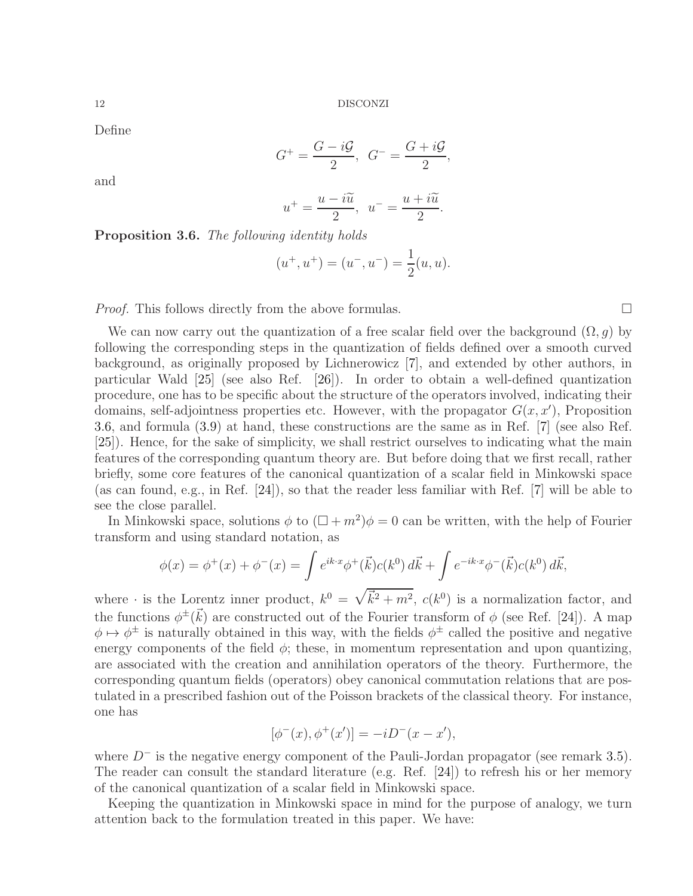Define

$$
G^+ = \frac{G - i\mathcal{G}}{2}, \quad G^- = \frac{G + i\mathcal{G}}{2},
$$

and

$$
u^{+} = \frac{u - i\widetilde{u}}{2}, \ \ u^{-} = \frac{u + i\widetilde{u}}{2}.
$$

<span id="page-11-0"></span>Proposition 3.6. The following identity holds

$$
(u^+, u^+) = (u^-, u^-) = \frac{1}{2}(u, u).
$$

*Proof.* This follows directly from the above formulas.  $\Box$ 

We can now carry out the quantization of a free scalar field over the background  $(\Omega, g)$  by following the corresponding steps in the quantization of fields defined over a smooth curved background, as originally proposed by Lichnerowicz [\[7\]](#page-13-6), and extended by other authors, in particular Wald [\[25\]](#page-13-24) (see also Ref. [\[26\]](#page-13-25)). In order to obtain a well-defined quantization procedure, one has to be specific about the structure of the operators involved, indicating their domains, self-adjointness properties etc. However, with the propagator  $G(x, x')$ , Proposition [3.6,](#page-11-0) and formula [\(3.9\)](#page-10-1) at hand, these constructions are the same as in Ref. [\[7\]](#page-13-6) (see also Ref. [\[25\]](#page-13-24)). Hence, for the sake of simplicity, we shall restrict ourselves to indicating what the main features of the corresponding quantum theory are. But before doing that we first recall, rather briefly, some core features of the canonical quantization of a scalar field in Minkowski space (as can found, e.g., in Ref. [\[24\]](#page-13-23)), so that the reader less familiar with Ref. [\[7\]](#page-13-6) will be able to see the close parallel.

In Minkowski space, solutions  $\phi$  to  $(\Box + m^2)\phi = 0$  can be written, with the help of Fourier transform and using standard notation, as

$$
\phi(x) = \phi^+(x) + \phi^-(x) = \int e^{ik \cdot x} \phi^+(\vec{k}) c(k^0) d\vec{k} + \int e^{-ik \cdot x} \phi^-(\vec{k}) c(k^0) d\vec{k},
$$

where  $\cdot$  is the Lorentz inner product,  $k^0 = \sqrt{k^2 + m^2}$ ,  $c(k^0)$  is a normalization factor, and the functions  $\phi^{\pm}(\vec{k})$  are constructed out of the Fourier transform of  $\phi$  (see Ref. [\[24\]](#page-13-23)). A map  $\phi \mapsto \phi^{\pm}$  is naturally obtained in this way, with the fields  $\phi^{\pm}$  called the positive and negative energy components of the field  $\phi$ ; these, in momentum representation and upon quantizing, are associated with the creation and annihilation operators of the theory. Furthermore, the corresponding quantum fields (operators) obey canonical commutation relations that are postulated in a prescribed fashion out of the Poisson brackets of the classical theory. For instance, one has

$$
[\phi^-(x), \phi^+(x')] = -iD^-(x - x'),
$$

where  $D^-$  is the negative energy component of the Pauli-Jordan propagator (see remark [3.5\)](#page-10-2). The reader can consult the standard literature (e.g. Ref. [\[24\]](#page-13-23)) to refresh his or her memory of the canonical quantization of a scalar field in Minkowski space.

Keeping the quantization in Minkowski space in mind for the purpose of analogy, we turn attention back to the formulation treated in this paper. We have: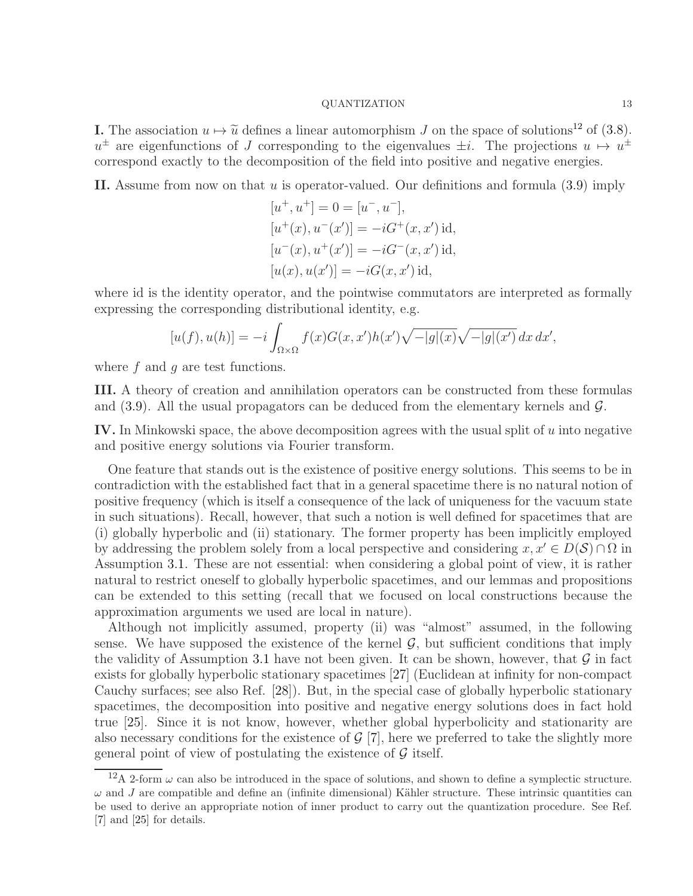**I.** The association  $u \mapsto \tilde{u}$  defines a linear automorphism J on the space of solutions<sup>[12](#page-12-0)</sup> of [\(3.8\)](#page-10-0).  $u^{\pm}$  are eigenfunctions of J corresponding to the eigenvalues  $\pm i$ . The projections  $u \mapsto u^{\pm}$ correspond exactly to the decomposition of the field into positive and negative energies.

II. Assume from now on that  $u$  is operator-valued. Our definitions and formula  $(3.9)$  imply

$$
[u^+, u^+] = 0 = [u^-, u^-],
$$
  
\n
$$
[u^+(x), u^-(x')] = -iG^+(x, x')
$$
id,  
\n
$$
[u^-(x), u^+(x')] = -iG^-(x, x')
$$
id,  
\n
$$
[u(x), u(x')] = -iG(x, x')
$$
id,

where id is the identity operator, and the pointwise commutators are interpreted as formally expressing the corresponding distributional identity, e.g.

$$
[u(f), u(h)] = -i \int_{\Omega \times \Omega} f(x)G(x, x')h(x')\sqrt{-|g|(x)}\sqrt{-|g|(x')} dx dx',
$$

where  $f$  and  $q$  are test functions.

III. A theory of creation and annihilation operators can be constructed from these formulas and  $(3.9)$ . All the usual propagators can be deduced from the elementary kernels and  $\mathcal{G}$ .

IV. In Minkowski space, the above decomposition agrees with the usual split of  $u$  into negative and positive energy solutions via Fourier transform.

One feature that stands out is the existence of positive energy solutions. This seems to be in contradiction with the established fact that in a general spacetime there is no natural notion of positive frequency (which is itself a consequence of the lack of uniqueness for the vacuum state in such situations). Recall, however, that such a notion is well defined for spacetimes that are (i) globally hyperbolic and (ii) stationary. The former property has been implicitly employed by addressing the problem solely from a local perspective and considering  $x, x' \in D(\mathcal{S}) \cap \Omega$  in Assumption [3.1.](#page-10-1) These are not essential: when considering a global point of view, it is rather natural to restrict oneself to globally hyperbolic spacetimes, and our lemmas and propositions can be extended to this setting (recall that we focused on local constructions because the approximation arguments we used are local in nature).

Although not implicitly assumed, property (ii) was "almost" assumed, in the following sense. We have supposed the existence of the kernel  $\mathcal{G}$ , but sufficient conditions that imply the validity of Assumption [3.1](#page-10-1) have not been given. It can be shown, however, that  $\mathcal G$  in fact exists for globally hyperbolic stationary spacetimes [\[27\]](#page-14-0) (Euclidean at infinity for non-compact Cauchy surfaces; see also Ref. [\[28\]](#page-14-1)). But, in the special case of globally hyperbolic stationary spacetimes, the decomposition into positive and negative energy solutions does in fact hold true [\[25\]](#page-13-24). Since it is not know, however, whether global hyperbolicity and stationarity are also necessary conditions for the existence of  $\mathcal{G}$  [\[7\]](#page-13-6), here we preferred to take the slightly more general point of view of postulating the existence of  $\mathcal G$  itself.

<span id="page-12-0"></span><sup>&</sup>lt;sup>12</sup>A 2-form  $\omega$  can also be introduced in the space of solutions, and shown to define a symplectic structure.  $\omega$  and J are compatible and define an (infinite dimensional) Kähler structure. These intrinsic quantities can be used to derive an appropriate notion of inner product to carry out the quantization procedure. See Ref. [\[7\]](#page-13-6) and [\[25\]](#page-13-24) for details.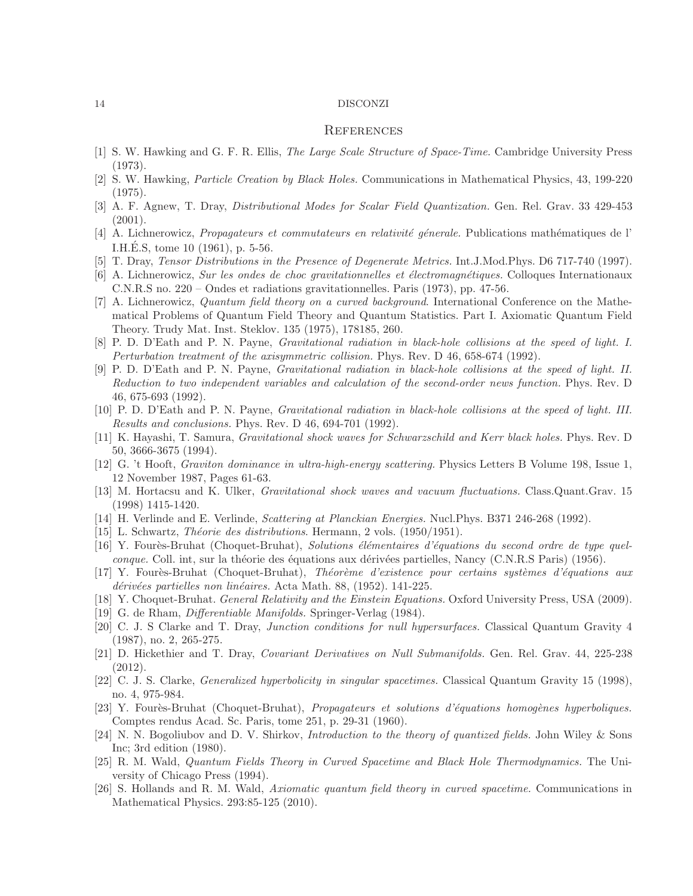#### **REFERENCES**

- <span id="page-13-1"></span><span id="page-13-0"></span>[1] S. W. Hawking and G. F. R. Ellis, The Large Scale Structure of Space-Time. Cambridge University Press (1973).
- [2] S. W. Hawking, Particle Creation by Black Holes. Communications in Mathematical Physics, 43, 199-220 (1975).
- <span id="page-13-2"></span>[3] A. F. Agnew, T. Dray, Distributional Modes for Scalar Field Quantization. Gen. Rel. Grav. 33 429-453 (2001).
- <span id="page-13-3"></span>[4] A. Lichnerowicz, *Propagateurs et commutateurs en relativité génerale*. Publications mathématiques de l' I.H.E.S, tome  $10(1961)$ , p. 5-56.
- <span id="page-13-5"></span><span id="page-13-4"></span>[5] T. Dray, Tensor Distributions in the Presence of Degenerate Metrics. Int.J.Mod.Phys. D6 717-740 (1997).
- [6] A. Lichnerowicz, Sur les ondes de choc gravitationnelles et électromagnétiques. Colloques Internationaux C.N.R.S no. 220 – Ondes et radiations gravitationnelles. Paris (1973), pp. 47-56.
- <span id="page-13-6"></span>[7] A. Lichnerowicz, Quantum field theory on a curved background. International Conference on the Mathematical Problems of Quantum Field Theory and Quantum Statistics. Part I. Axiomatic Quantum Field Theory. Trudy Mat. Inst. Steklov. 135 (1975), 178185, 260.
- <span id="page-13-8"></span><span id="page-13-7"></span>[8] P. D. D'Eath and P. N. Payne, Gravitational radiation in black-hole collisions at the speed of light. I. Perturbation treatment of the axisymmetric collision. Phys. Rev. D 46, 658-674 (1992).
- [9] P. D. D'Eath and P. N. Payne, Gravitational radiation in black-hole collisions at the speed of light. II. Reduction to two independent variables and calculation of the second-order news function. Phys. Rev. D 46, 675-693 (1992).
- <span id="page-13-9"></span>[10] P. D. D'Eath and P. N. Payne, Gravitational radiation in black-hole collisions at the speed of light. III. Results and conclusions. Phys. Rev. D 46, 694-701 (1992).
- <span id="page-13-10"></span>[11] K. Hayashi, T. Samura, Gravitational shock waves for Schwarzschild and Kerr black holes. Phys. Rev. D 50, 3666-3675 (1994).
- <span id="page-13-12"></span><span id="page-13-11"></span>[12] G. 't Hooft, Graviton dominance in ultra-high-energy scattering. Physics Letters B Volume 198, Issue 1, 12 November 1987, Pages 61-63.
- <span id="page-13-13"></span>[13] M. Hortacsu and K. Ulker, Gravitational shock waves and vacuum fluctuations. Class.Quant.Grav. 15 (1998) 1415-1420.
- <span id="page-13-14"></span>[14] H. Verlinde and E. Verlinde, Scattering at Planckian Energies. Nucl.Phys. B371 246-268 (1992).
- <span id="page-13-15"></span>[15] L. Schwartz, *Théorie des distributions*. Hermann, 2 vols.  $(1950/1951)$ .
- [16] Y. Fourès-Bruhat (Choquet-Bruhat), Solutions élémentaires d'équations du second ordre de type quelconque. Coll. int, sur la théorie des équations aux dérivées partielles, Nancy (C.N.R.S Paris) (1956).
- <span id="page-13-16"></span>[17] Y. Fourès-Bruhat (Choquet-Bruhat), Théorème d'existence pour certains systèmes d'équations aux dérivées partielles non linéaires. Acta Math. 88, (1952). 141-225.
- <span id="page-13-18"></span><span id="page-13-17"></span>[18] Y. Choquet-Bruhat. General Relativity and the Einstein Equations. Oxford University Press, USA (2009).
- <span id="page-13-19"></span>[19] G. de Rham, *Differentiable Manifolds*. Springer-Verlag (1984).
- [20] C. J. S Clarke and T. Dray, Junction conditions for null hypersurfaces. Classical Quantum Gravity 4 (1987), no. 2, 265-275.
- <span id="page-13-20"></span>[21] D. Hickethier and T. Dray, Covariant Derivatives on Null Submanifolds. Gen. Rel. Grav. 44, 225-238 (2012).
- <span id="page-13-21"></span>[22] C. J. S. Clarke, Generalized hyperbolicity in singular spacetimes. Classical Quantum Gravity 15 (1998), no. 4, 975-984.
- <span id="page-13-22"></span>[23] Y. Fourès-Bruhat (Choquet-Bruhat), Propagateurs et solutions d'équations homogènes hyperboliques. Comptes rendus Acad. Sc. Paris, tome 251, p. 29-31 (1960).
- <span id="page-13-23"></span>[24] N. N. Bogoliubov and D. V. Shirkov, *Introduction to the theory of quantized fields*. John Wiley & Sons Inc; 3rd edition (1980).
- <span id="page-13-24"></span>[25] R. M. Wald, Quantum Fields Theory in Curved Spacetime and Black Hole Thermodynamics. The University of Chicago Press (1994).
- <span id="page-13-25"></span>[26] S. Hollands and R. M. Wald, Axiomatic quantum field theory in curved spacetime. Communications in Mathematical Physics. 293:85-125 (2010).